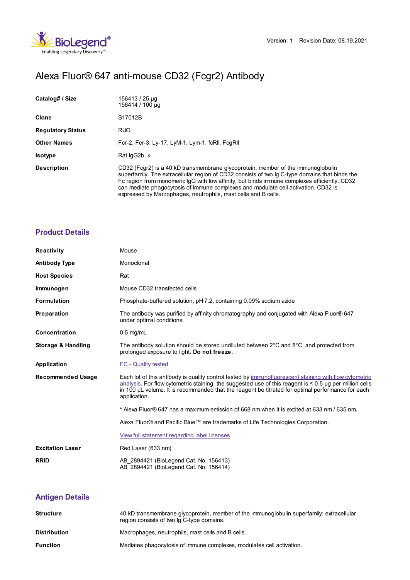# Alexa Fluor® 647 anti-mouse CD32 (Fcgr2) Antibody

| Catalog# / Size          | 156413 / 25 µg<br>156414 / 100 µg                                                                                                                                                                                                                                                                                                                                                                                                          |
|--------------------------|--------------------------------------------------------------------------------------------------------------------------------------------------------------------------------------------------------------------------------------------------------------------------------------------------------------------------------------------------------------------------------------------------------------------------------------------|
| Clone                    | S <sub>17012</sub> B                                                                                                                                                                                                                                                                                                                                                                                                                       |
| <b>Regulatory Status</b> | <b>RUO</b>                                                                                                                                                                                                                                                                                                                                                                                                                                 |
| <b>Other Names</b>       | Fcr-2, Fcr-3, Ly-17, LyM-1, Lym-1, fcRII, FcqRII                                                                                                                                                                                                                                                                                                                                                                                           |
| <b>Isotype</b>           | Rat lgG2b, K                                                                                                                                                                                                                                                                                                                                                                                                                               |
| <b>Description</b>       | CD32 (Fcgr2) is a 40 kD transmembrane glycoprotein, member of the immunoglobulin<br>superfamily. The extracellular region of CD32 consists of two Ig C-type domains that binds the<br>Fc region from monomeric IgG with low affinity, but binds immune complexes efficiently. CD32<br>can mediate phagocytosis of immune complexes and modulate cell activation. CD32 is<br>expressed by Macrophages, neutrophils, mast cells and B cells. |

### **[Product](https://www.biolegend.com/de-at/products/alexa-fluor-647-anti-mouse-cd32-fcgr2-antibody-21154?pdf=true&displayInline=true&leftRightMargin=15&topBottomMargin=15&filename=Alexa Fluor%EF%BF%BD%EF%BF%BD 647 anti-mouse CD32 (Fcgr2) Antibody.pdf#productDetails) Details**

| <b>Reactivity</b>             | Mouse                                                                                                                                                                                                                                                                                                                                       |
|-------------------------------|---------------------------------------------------------------------------------------------------------------------------------------------------------------------------------------------------------------------------------------------------------------------------------------------------------------------------------------------|
| <b>Antibody Type</b>          | Monoclonal                                                                                                                                                                                                                                                                                                                                  |
| <b>Host Species</b>           | Rat                                                                                                                                                                                                                                                                                                                                         |
| Immunogen                     | Mouse CD32 transfected cells                                                                                                                                                                                                                                                                                                                |
| <b>Formulation</b>            | Phosphate-buffered solution, pH 7.2, containing 0.09% sodium azide                                                                                                                                                                                                                                                                          |
| Preparation                   | The antibody was purified by affinity chromatography and conjugated with Alexa Fluor® 647<br>under optimal conditions.                                                                                                                                                                                                                      |
| Concentration                 | $0.5$ mg/mL                                                                                                                                                                                                                                                                                                                                 |
| <b>Storage &amp; Handling</b> | The antibody solution should be stored undiluted between $2^{\circ}$ C and $8^{\circ}$ C, and protected from<br>prolonged exposure to light. Do not freeze.                                                                                                                                                                                 |
| Application                   | <b>FC - Quality tested</b>                                                                                                                                                                                                                                                                                                                  |
| <b>Recommended Usage</b>      | Each lot of this antibody is quality control tested by immunofluorescent staining with flow cytometric<br>analysis. For flow cytometric staining, the suggested use of this reagent is $\leq 0.5$ ug per million cells<br>in 100 µL volume. It is recommended that the reagent be titrated for optimal performance for each<br>application. |
|                               | * Alexa Fluor® 647 has a maximum emission of 668 nm when it is excited at 633 nm / 635 nm.                                                                                                                                                                                                                                                  |
|                               | Alexa Fluor® and Pacific Blue™ are trademarks of Life Technologies Corporation.                                                                                                                                                                                                                                                             |
|                               | View full statement regarding label licenses                                                                                                                                                                                                                                                                                                |
| <b>Excitation Laser</b>       | Red Laser (633 nm)                                                                                                                                                                                                                                                                                                                          |
| <b>RRID</b>                   | AB 2894421 (BioLegend Cat. No. 156413)<br>AB 2894421 (BioLegend Cat. No. 156414)                                                                                                                                                                                                                                                            |

## **[Antigen](https://www.biolegend.com/de-at/products/alexa-fluor-647-anti-mouse-cd32-fcgr2-antibody-21154?pdf=true&displayInline=true&leftRightMargin=15&topBottomMargin=15&filename=Alexa Fluor%EF%BF%BD%EF%BF%BD 647 anti-mouse CD32 (Fcgr2) Antibody.pdf#antigenDetails) Details**

| <b>Structure</b>    | 40 kD transmembrane glycoprotein, member of the immunoglobulin superfamily; extracellular<br>region consists of two lg C-type domains. |
|---------------------|----------------------------------------------------------------------------------------------------------------------------------------|
| <b>Distribution</b> | Macrophages, neutrophils, mast cells and B cells.                                                                                      |
| <b>Function</b>     | Mediates phagocytosis of immune complexes, modulates cell activation.                                                                  |